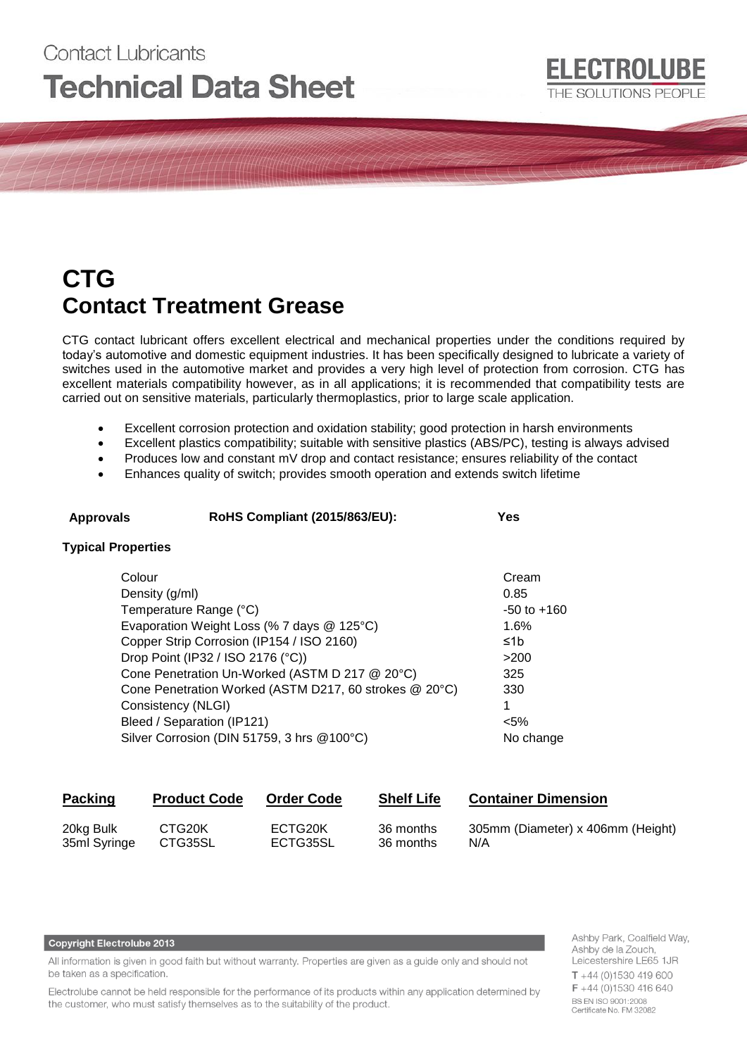# **Contact Lubricants Technical Data Sheet**

## **CTG Contact Treatment Grease**

CTG contact lubricant offers excellent electrical and mechanical properties under the conditions required by today's automotive and domestic equipment industries. It has been specifically designed to lubricate a variety of switches used in the automotive market and provides a very high level of protection from corrosion. CTG has excellent materials compatibility however, as in all applications; it is recommended that compatibility tests are carried out on sensitive materials, particularly thermoplastics, prior to large scale application.

- Excellent corrosion protection and oxidation stability; good protection in harsh environments
- Excellent plastics compatibility; suitable with sensitive plastics (ABS/PC), testing is always advised
- Produces low and constant mV drop and contact resistance; ensures reliability of the contact
- Enhances quality of switch; provides smooth operation and extends switch lifetime

## **Approvals RoHS Compliant (2015/863/EU): Yes**

#### **Typical Properties**

| Colour                                                 | Cream           |
|--------------------------------------------------------|-----------------|
| Density (g/ml)                                         | 0.85            |
| Temperature Range (°C)                                 | $-50$ to $+160$ |
| Evaporation Weight Loss (% 7 days @ 125°C)             | 1.6%            |
| Copper Strip Corrosion (IP154 / ISO 2160)              | ≤1b             |
| Drop Point (IP32 / ISO 2176 (°C))                      | >200            |
| Cone Penetration Un-Worked (ASTM D 217 @ 20°C)         | 325             |
| Cone Penetration Worked (ASTM D217, 60 strokes @ 20°C) | 330             |
| Consistency (NLGI)                                     |                 |
| Bleed / Separation (IP121)                             | $< 5\%$         |
| Silver Corrosion (DIN 51759, 3 hrs @100°C)             | No change       |

| <b>Packing</b> | <b>Product Code</b> | <b>Order Code</b> | <b>Shelf Life</b> | <b>Container Dimension</b>        |
|----------------|---------------------|-------------------|-------------------|-----------------------------------|
| 20kg Bulk      | CTG <sub>20</sub> K | ECTG20K           | 36 months         | 305mm (Diameter) x 406mm (Height) |
| 35ml Syringe   | CTG35SL             | ECTG35SL          | 36 months         | N/A                               |

#### **Copyright Electrolube 2013**

All information is given in good faith but without warranty. Properties are given as a guide only and should not be taken as a specification.

Electrolube cannot be held responsible for the performance of its products within any application determined by the customer, who must satisfy themselves as to the suitability of the product.

Ashby Park, Coalfield Way, Ashby de la Zouch, Leicestershire LE65 1JR  $T + 44$  (0)1530 419 600 F +44 (0)1530 416 640 BS EN ISO 9001:2008 Certificate No. FM 32082

ELECTROLUBE

THE SOLUTIONS PEOPLE